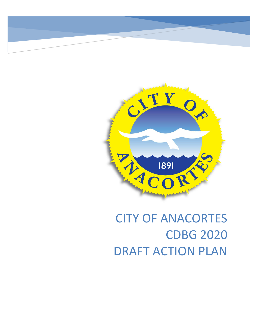

# CITY OF ANACORTES CDBG 2020 DRAFT ACTION PLAN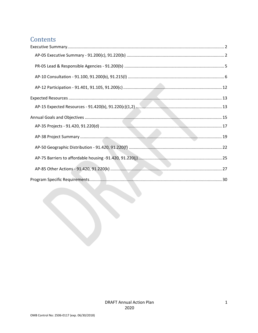# Contents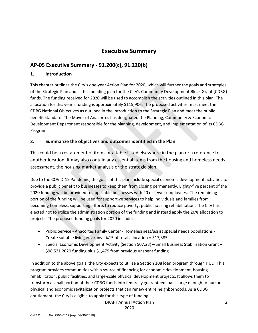# **Executive Summary**

# <span id="page-2-1"></span><span id="page-2-0"></span>**AP-05 Executive Summary - 91.200(c), 91.220(b)**

### **1. Introduction**

This chapter outlines the City's one-year Action Plan for 2020, which will further the goals and strategies of the Strategic Plan and is the spending plan for the City's Community Development Block Grant (CDBG) funds. The funding received for 2020 will be used to accomplish the activities outlined in this plan. The allocation for this year's funding is approximately \$115,906. The proposed activities must meet the CDBG National Objectives as outlined in the introduction to the Strategic Plan and meet the public benefit standard. The Mayor of Anacortes has designated the Planning, Community & Economic Development Department responsible for the planning, development, and implementation of its CDBG Program.

### **2. Summarize the objectives and outcomes identified in the Plan**

This could be a restatement of items or a table listed elsewhere in the plan or a reference to another location. It may also contain any essential items from the housing and homeless needs assessment, the housing market analysis or the strategic plan.

Due to the COVID-19 Pandemic, the goals of this plan include special economic development activities to provide a public benefit to businesses to keep them from closing permanently. Eighty-five percent of the 2020 funding will be provided to applicable businesses with 20 or fewer employees. The remaining portion of the funding will be used for supportive services to help individuals and families from becoming homeless, supporting efforts to reduce poverty, public housing rehabilitation. The City has elected not to utilize the administration portion of the funding and instead apply the 20% allocation to projects. The proposed funding goals for 2020 include:

- Public Service Anacortes Family Center Homelessness/assist special needs populations Create suitable living environs - %15 of total allocation = \$17,385
- Special Economic Development Activity (Section 507.23) Small Business Stabilization Grant \$98,521 2020 funding plus \$1,479 from previous unspent funding

In addition to the above goals, the City expects to utilize a Section 108 loan program through HUD. This program provides communities with a source of financing for economic development, housing rehabilitation, public facilities, and large-scale physical development projects. It allows them to transform a small portion of their CDBG funds into federally guaranteed loans large enough to pursue physical and economic revitalization projects that can renew entire neighborhoods. As a CDBG entitlement, the City is eligible to apply for this type of funding.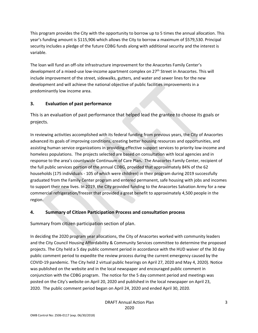This program provides the City with the opportunity to borrow up to 5 times the annual allocation. This year's funding amount is \$115,906 which allows the City to borrow a maximum of \$579,530. Principal security includes a pledge of the future CDBG funds along with additional security and the interest is variable.

The loan will fund an off-site infrastructure improvement for the Anacortes Family Center's development of a mixed-use low-income apartment complex on  $27<sup>th</sup>$  Street in Anacortes. This will include improvement of the street, sidewalks, gutters, and water and sewer lines for the new development and will achieve the national objective of public facilities improvements in a predominantly low income area.

### **3. Evaluation of past performance**

This is an evaluation of past performance that helped lead the grantee to choose its goals or projects.

In reviewing activities accomplished with its federal funding from previous years, the City of Anacortes advanced its goals of improving conditions, creating better housing resources and opportunities, and assisting human service organizations in providing effective support services to priority low-income and homeless populations. The projects selected are based on consultation with local agencies and in response to the area's countywide Continuum of Care Plan**.** The Anacortes Family Center, recipient of the full public services portion of the annual CDBG, provided that approximately 84% of the 62 households (175 individuals - 105 of which were children) in their program during 2019 successfully graduated from the Family Center program and entered permanent, safe housing with jobs and incomes to support their new lives. In 2019, the City provided funding to the Anacortes Salvation Army for a new commercial refrigeration/freezer that provided a great benefit to approximately 4,500 people in the region.

### **4. Summary of Citizen Participation Process and consultation process**

Summary from citizen participation section of plan.

In deciding the 2020 program year allocations, the City of Anacortes worked with community leaders and the City Council Housing Affordability & Community Services committee to determine the proposed projects. The City held a 5 day public comment period in accordance with the HUD waiver of the 30 day public comment period to expedite the review process during the current emergency caused by the COVID-19 pandemic. The City held 2 virtual public hearings on April 27, 2020 and May 4, 2020). Notice was published on the website and in the local newspaper and encouraged public comment in conjunction with the CDBG program. The notice for the 5 day comment period and meetings was posted on the City's website on April 20, 2020 and published in the local newspaper on April 23, 2020. The public comment period began on April 24, 2020 and ended April 30, 2020.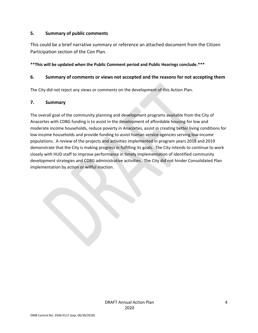### **5. Summary of public comments**

This could be a brief narrative summary or reference an attached document from the Citizen Participation section of the Con Plan.

### **\*\*This will be updated when the Public Comment period and Public Hearings conclude.\*\*\***

### **6. Summary of comments or views not accepted and the reasons for not accepting them**

The City did not reject any views or comments on the development of this Action Plan.

### **7. Summary**

The overall goal of the community planning and development programs available from the City of Anacortes with CDBG funding is to assist in the development of affordable housing for low and moderate income households, reduce poverty in Anacortes, assist in creating better living conditions for low income households and provide funding to assist human service agencies serving low-income populations. A review of the projects and activities implemented in program years 2018 and 2019 demonstrate that the City is making progress in fulfilling its goals. The City intends to continue to work closely with HUD staff to improve performance in timely implementation of identified community development strategies and CDBG administrative activities. The City did not hinder Consolidated Plan implementation by action or willful inaction.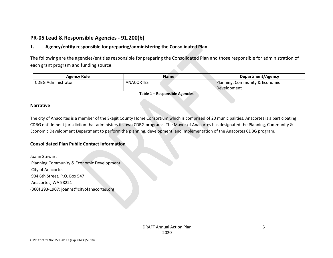# **PR-05 Lead & Responsible Agencies - 91.200(b)**

### **1. Agency/entity responsible for preparing/administering the Consolidated Plan**

The following are the agencies/entities responsible for preparing the Consolidated Plan and those responsible for administration of each grant program and funding source.

| Agency Role               | Name             |  | Department/Agency              |
|---------------------------|------------------|--|--------------------------------|
| <b>CDBG Administrator</b> | <b>ANACORTES</b> |  | Planning, Community & Economic |
|                           |                  |  | Development                    |

**Table 1 – Responsible Agencies**

### <span id="page-5-0"></span>**Narrative**

The city of Anacortes is a member of the Skagit County Home Consortium which is comprised of 20 municipalities. Anacortes is a participating CDBG entitlement jurisdiction that administers its own CDBG programs. The Mayor of Anacortes has designated the Planning, Community & Economic Development Department to perform the planning, development, and implementation of the Anacortes CDBG program.

### **Consolidated Plan Public Contact Information**

Joann Stewart Planning Community & Economic Development City of Anacortes 904 6th Street, P.O. Box 547 Anacortes, WA 98221 (360) 293-1907; joanns@cityofanacortes.org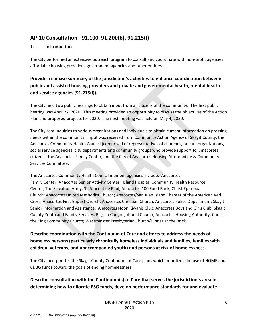# <span id="page-6-0"></span>**AP-10 Consultation - 91.100, 91.200(b), 91.215(l)**

### **1. Introduction**

The City performed an extensive outreach program to consult and coordinate with non-profit agencies, affordable housing providers, government agencies and other entities.

# **Provide a concise summary of the jurisdiction's activities to enhance coordination between public and assisted housing providers and private and governmental health, mental health and service agencies (91.215(l)).**

The City held two public hearings to obtain input from all citizens of the community. The first public hearing was April 27, 2020. This meeting provided an opportunity to discuss the objectives of the Action Plan and proposed projects for 2020. The next meeting was held on May 4, 2020.

The City sent inquiries to various organizations and individuals to obtain current information on pressing needs within the community. Input was received from Community Action Agency of Skagit County, the Anacortes Community Health Council (comprised of representatives of churches, private organizations, social service agencies, city departments and community groups who provide support for Anacortes citizens), the Anacortes Family Center, and the City of Anacortes Housing Affordability & Community Services Committee.

The Anacortes Community Health Council member agencies include: Anacortes Family Center; Anacortes Senior Activity Center; Island Hospital Community Health Resource Center; The Salvation Army; St. Vincent de Paul; Anacortes 100 Food Bank; Christ Episcopal Church; Anacortes United Methodist Church; Anacortes/San Juan Island Chapter of the American Red Cross; Anacortes First Baptist Church; Anacortes Christian Church; Anacortes Police Department; Skagit Senior Information and Assistance; Anacortes Noon Kiwanis Club; Anacortes Boys and Girls Club; Skagit County Youth and Family Services; Pilgrim Congregational Church; Anacortes Housing Authority; Christ the King Community Church; Westminster Presbyterian Church/Dinner at the Brick.

# **Describe coordination with the Continuum of Care and efforts to address the needs of homeless persons (particularly chronically homeless individuals and families, families with children, veterans, and unaccompanied youth) and persons at risk of homelessness.**

The City incorporates the Skagit County Continuum of Care plans which prioritizes the use of HOME and CDBG funds toward the goals of ending homelessness.

# **Describe consultation with the Continuum(s) of Care that serves the jurisdiction's area in determining how to allocate ESG funds, develop performance standards for and evaluate**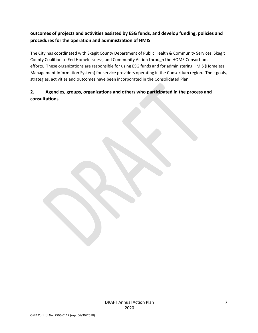# **outcomes of projects and activities assisted by ESG funds, and develop funding, policies and procedures for the operation and administration of HMIS**

The City has coordinated with Skagit County Department of Public Health & Community Services, Skagit County Coalition to End Homelessness, and Community Action through the HOME Consortium efforts. These organizations are responsible for using ESG funds and for administering HMIS (Homeless Management Information System) for service providers operating in the Consortium region. Their goals, strategies, activities and outcomes have been incorporated in the Consolidated Plan.

# **2. Agencies, groups, organizations and others who participated in the process and consultations**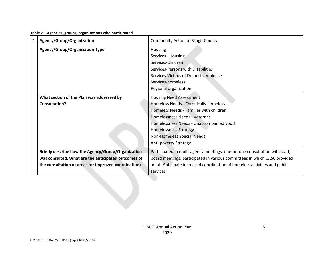| $\mathbf{1}$ | Agency/Group/Organization                                                                                                                                         | <b>Community Action of Skagit County</b>                                                                                                                                                                                                                                                      |
|--------------|-------------------------------------------------------------------------------------------------------------------------------------------------------------------|-----------------------------------------------------------------------------------------------------------------------------------------------------------------------------------------------------------------------------------------------------------------------------------------------|
|              | <b>Agency/Group/Organization Type</b>                                                                                                                             | Housing<br>Services - Housing<br>Services-Children<br>Services-Persons with Disabilities<br>Services-Victims of Domestic Violence<br>Services-homeless<br>Regional organization                                                                                                               |
|              | What section of the Plan was addressed by<br>Consultation?                                                                                                        | <b>Housing Need Assessment</b><br>Homeless Needs - Chronically homeless<br>Homeless Needs - Families with children<br>Homelessness Needs - Veterans<br>Homelessness Needs - Unaccompanied youth<br><b>Homelessness Strategy</b><br>Non-Homeless Special Needs<br><b>Anti-poverty Strategy</b> |
|              | Briefly describe how the Agency/Group/Organization<br>was consulted. What are the anticipated outcomes of<br>the consultation or areas for improved coordination? | Participated in multi-agency meetings, one-on-one consultation with staff,<br>board meetings, participated in various committees in which CASC provided<br>input. Anticipate increased coordination of homeless activities and public<br>services.                                            |

#### **Table 2 – Agencies, groups, organizations who participated**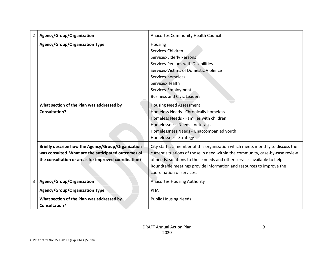| $\mathbf{2}$ | Agency/Group/Organization                                                                                                                                         | Anacortes Community Health Council                                                                                                                                                                                                                                                                                                               |
|--------------|-------------------------------------------------------------------------------------------------------------------------------------------------------------------|--------------------------------------------------------------------------------------------------------------------------------------------------------------------------------------------------------------------------------------------------------------------------------------------------------------------------------------------------|
|              | <b>Agency/Group/Organization Type</b>                                                                                                                             | Housing<br>Services-Children<br><b>Services-Elderly Persons</b><br>Services-Persons with Disabilities<br>Services-Victims of Domestic Violence<br>Services-homeless<br>Services-Health<br>Services-Employment<br><b>Business and Civic Leaders</b>                                                                                               |
|              | What section of the Plan was addressed by<br><b>Consultation?</b>                                                                                                 | <b>Housing Need Assessment</b><br>Homeless Needs - Chronically homeless<br>Homeless Needs - Families with children<br>Homelessness Needs - Veterans<br>Homelessness Needs - Unaccompanied youth<br><b>Homelessness Strategy</b>                                                                                                                  |
|              | Briefly describe how the Agency/Group/Organization<br>was consulted. What are the anticipated outcomes of<br>the consultation or areas for improved coordination? | City staff is a member of this organization which meets monthly to discuss the<br>current situations of those in need within the community, case-by-case review<br>of needs, solutions to those needs and other services available to help.<br>Roundtable meetings provide information and resources to improve the<br>coordination of services. |
| 3            | Agency/Group/Organization                                                                                                                                         | <b>Anacortes Housing Authority</b>                                                                                                                                                                                                                                                                                                               |
|              | <b>Agency/Group/Organization Type</b>                                                                                                                             | PHA                                                                                                                                                                                                                                                                                                                                              |
|              | What section of the Plan was addressed by<br>Consultation?                                                                                                        | <b>Public Housing Needs</b>                                                                                                                                                                                                                                                                                                                      |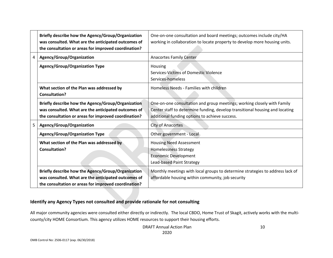|   | Briefly describe how the Agency/Group/Organization<br>was consulted. What are the anticipated outcomes of<br>the consultation or areas for improved coordination? | One-on-one consultation and board meetings; outcomes include city/HA<br>working in collaboration to locate property to develop more housing units.                                                        |
|---|-------------------------------------------------------------------------------------------------------------------------------------------------------------------|-----------------------------------------------------------------------------------------------------------------------------------------------------------------------------------------------------------|
| 4 | Agency/Group/Organization                                                                                                                                         | <b>Anacortes Family Center</b>                                                                                                                                                                            |
|   | <b>Agency/Group/Organization Type</b>                                                                                                                             | Housing<br>Services-Victims of Domestic Violence<br>Services-homeless                                                                                                                                     |
|   | What section of the Plan was addressed by<br><b>Consultation?</b>                                                                                                 | Homeless Needs - Families with children                                                                                                                                                                   |
|   | Briefly describe how the Agency/Group/Organization<br>was consulted. What are the anticipated outcomes of<br>the consultation or areas for improved coordination? | One-on-one consultation and group meetings; working closely with Family<br>Center staff to determine funding, develop transitional housing and locating<br>additional funding options to achieve success. |
| 5 | Agency/Group/Organization                                                                                                                                         | <b>City of Anacortes</b>                                                                                                                                                                                  |
|   | Agency/Group/Organization Type                                                                                                                                    | Other government - Local                                                                                                                                                                                  |
|   | What section of the Plan was addressed by<br><b>Consultation?</b>                                                                                                 | <b>Housing Need Assessment</b><br><b>Homelessness Strategy</b><br><b>Economic Development</b><br>Lead-based Paint Strategy                                                                                |
|   | Briefly describe how the Agency/Group/Organization<br>was consulted. What are the anticipated outcomes of<br>the consultation or areas for improved coordination? | Monthly meetings with local groups to determine strategies to address lack of<br>affordable housing within community, job security                                                                        |

### **Identify any Agency Types not consulted and provide rationale for not consulting**

All major community agencies were consulted either directly or indirectly. The local CBDO, Home Trust of Skagit, actively works with the multicounty/city HOME Consortium. This agency utilizes HOME resources to support their housing efforts.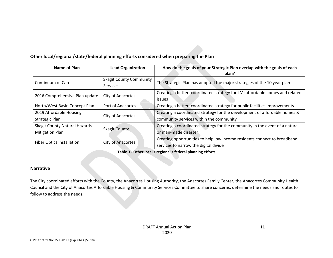### **Other local/regional/state/federal planning efforts considered when preparing the Plan**

| Name of Plan                                                    | <b>Lead Organization</b> | How do the goals of your Strategic Plan overlap with the goals of each<br>plan?                                      |
|-----------------------------------------------------------------|--------------------------|----------------------------------------------------------------------------------------------------------------------|
| <b>Skagit County Community</b><br>Continuum of Care<br>Services |                          | The Strategic Plan has adopted the major strategies of the 10 year plan                                              |
| 2016 Comprehensive Plan update                                  | City of Anacortes        | Creating a better, coordinated strategy for LMI affordable homes and related<br><i>issues</i>                        |
| North/West Basin Concept Plan                                   | Port of Anacortes        | Creating a better, coordinated strategy for public facilities improvements                                           |
| 2019 Affordable Housing<br><b>Strategic Plan</b>                | City of Anacortes        | Creating a coordinated strategy for the development of affordable homes &<br>community services within the community |
| <b>Skagit County Natural Hazards</b><br><b>Mitigation Plan</b>  | <b>Skagit County</b>     | Creating a coordinated strategy for the community in the event of a natural<br>or man-made disaster                  |
| Fiber Optics Installation                                       | City of Anacortes        | Creating opportunities to help low income residents connect to broadband<br>services to narrow the digital divide    |

**Table 3 - Other local / regional / federal planning efforts**

### **Narrative**

The City coordinated efforts with the County, the Anacortes Housing Authority, the Anacortes Family Center, the Anacortes Community Health Council and the City of Anacortes Affordable Housing & Community Services Committee to share concerns, determine the needs and routes to follow to address the needs.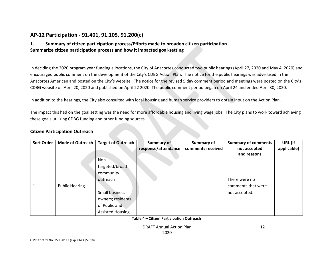## **AP-12 Participation - 91.401, 91.105, 91.200(c)**

### **1. Summary of citizen participation process/Efforts made to broaden citizen participation Summarize citizen participation process and how it impacted goal-setting**

In deciding the 2020 program year funding allocations, the City of Anacortes conducted two public hearings (April 27, 2020 and May 4, 2020) and encouraged public comment on the development of the City's CDBG Action Plan. The notice for the public hearings was advertised in the Anacortes American and posted on the City's website. The notice for the revised 5 day comment period and meetings were posted on the City's CDBG website on April 20, 2020 and published on April 22 2020. The public comment period began on April 24 and ended April 30, 2020.

In addition to the hearings, the City also consulted with local housing and human service providers to obtain input on the Action Plan.

<span id="page-12-0"></span>The impact this had on the goal setting was the need for more affordable housing and living wage jobs. The City plans to work toward achieving these goals utilizing CDBG funding and other funding sources

### **Citizen Participation Outreach**

| <b>Sort Order</b> | <b>Mode of Outreach</b> | <b>Target of Outreach</b> | <b>Summary of</b>   | Summary of        | <b>Summary of comments</b> | URL (If     |
|-------------------|-------------------------|---------------------------|---------------------|-------------------|----------------------------|-------------|
|                   |                         |                           | response/attendance | comments received | not accepted               | applicable) |
|                   |                         |                           |                     |                   | and reasons                |             |
|                   |                         | Non-                      |                     |                   |                            |             |
|                   |                         | targeted/broad            |                     |                   |                            |             |
|                   |                         | community                 |                     |                   |                            |             |
|                   |                         | outreach                  |                     |                   | There were no              |             |
|                   | <b>Public Hearing</b>   |                           |                     |                   | comments that were         |             |
|                   |                         | Small business            |                     |                   | not accepted.              |             |
|                   |                         | owners; residents         |                     |                   |                            |             |
|                   |                         | of Public and             |                     |                   |                            |             |
|                   |                         | <b>Assisted Housing</b>   |                     |                   |                            |             |

**Table 4 – Citizen Participation Outreach**

DRAFT Annual Action Plan

12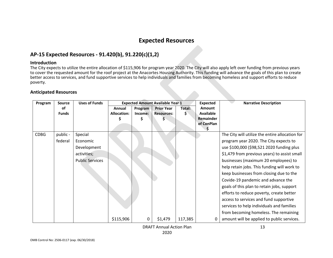# **Expected Resources**

### **AP-15 Expected Resources - 91.420(b), 91.220(c)(1,2)**

#### **Introduction**

The City expects to utilize the entire allocation of \$115,906 for program year 2020. The City will also apply left over funding from previous years to cover the requested amount for the roof project at the Anacortes Housing Authority. This funding will advance the goals of this plan to create better access to services, and fund supportive services to help individuals and families from becoming homeless and support efforts to reduce poverty.

### **Anticipated Resources**

<span id="page-13-1"></span><span id="page-13-0"></span>

| Program     | <b>Source</b> | <b>Uses of Funds</b>   | <b>Expected Amount Available Year 1</b> |         |                   |         | <b>Expected</b>  | <b>Narrative Description</b>                    |
|-------------|---------------|------------------------|-----------------------------------------|---------|-------------------|---------|------------------|-------------------------------------------------|
|             | of            |                        | Annual                                  | Program | <b>Prior Year</b> | Total:  | <b>Amount</b>    |                                                 |
|             | <b>Funds</b>  |                        | Allocation:                             | Income: | <b>Resources:</b> | s       | <b>Available</b> |                                                 |
|             |               |                        |                                         |         |                   |         | Remainder        |                                                 |
|             |               |                        |                                         |         |                   |         | of ConPlan       |                                                 |
| <b>CDBG</b> | public -      | Special                |                                         |         |                   |         |                  | The City will utilize the entire allocation for |
|             | federal       | Economic               |                                         |         |                   |         |                  | program year 2020. The City expects to          |
|             |               | Development            |                                         |         |                   |         |                  | use \$100,000 (\$98,521 2020 funding plus       |
|             |               | activities;            |                                         |         |                   |         |                  | \$1,479 from previous years) to assist small    |
|             |               | <b>Public Services</b> |                                         |         |                   |         |                  | businesses (maximum 20 employees) to            |
|             |               |                        |                                         |         |                   |         |                  | help retain jobs. This funding will work to     |
|             |               |                        |                                         |         |                   |         |                  | keep businesses from closing due to the         |
|             |               |                        |                                         |         |                   |         |                  | Covide-19 pandemic and advance the              |
|             |               |                        |                                         |         |                   |         |                  | goals of this plan to retain jobs, support      |
|             |               |                        |                                         |         |                   |         |                  | efforts to reduce poverty, create better        |
|             |               |                        |                                         |         |                   |         |                  | access to services and fund supportive          |
|             |               |                        |                                         |         |                   |         |                  | services to help individuals and families       |
|             |               |                        |                                         |         |                   |         |                  | from becoming homeless. The remaining           |
|             |               |                        | \$115,906                               | 0       | \$1,479           | 117,385 | 0                | amount will be applied to public services.      |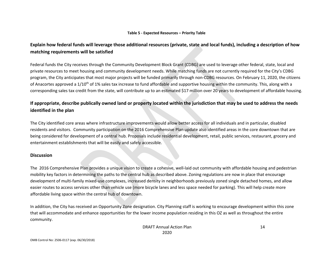#### **Table 5 - Expected Resources – Priority Table**

## **Explain how federal funds will leverage those additional resources (private, state and local funds), including a description of how matching requirements will be satisfied**

Federal funds the City receives through the Community Development Block Grant (CDBG) are used to leverage other federal, state, local and private resources to meet housing and community development needs. While matching funds are not currently required for the City's CDBG program, the City anticipates that most major projects will be funded primarily through non-CDBG resources. On February 11, 2020, the citizens of Anacortes approved a 1/10<sup>th</sup> of 1% sales tax increase to fund affordable and supportive housing within the community. This, along with a corresponding sales tax credit from the state, will contribute up to an estimated \$17 million over 20 years to development of affordable housing.

# **If appropriate, describe publically owned land or property located within the jurisdiction that may be used to address the needs identified in the plan**

The City identified core areas where infrastructure improvements would allow better access for all individuals and in particular, disabled residents and visitors. Community participation on the 2016 Comprehensive Plan update also identified areas in the core downtown that are being considered for development of a central hub. Proposals include residential development, retail, public services, restaurant, grocery and entertainment establishments that will be easily and safely accessible.

### **Discussion**

The 2016 Comprehensive Plan provides a unique vision to create a cohesive, well-laid out community with affordable housing and pedestrian mobility key factors in determining the paths to the central hub as described above. Zoning regulations are now in place that encourage development of multi-family mixed-use complexes, increased density in neighborhoods previously zoned single detached homes, and allow easier routes to access services other than vehicle use (more bicycle lanes and less space needed for parking). This will help create more affordable living space within the central hub of downtown.

In addition, the City has received an Opportunity Zone designation. City Planning staff is working to encourage development within this zone that will accommodate and enhance opportunities for the lower income population residing in this OZ as well as throughout the entire community.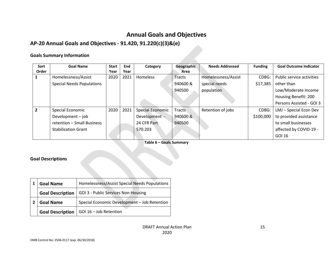# **Annual Goals and Objectives**

# **AP-20 Annual Goals and Objectives - 91.420, 91.220(c)(3)&(e)**

### **Goals Summary Information**

<span id="page-15-0"></span>

| Sort  | <b>Goal Name</b>                 | <b>Start</b> | <b>End</b> | Category                | Geographic    | <b>Needs Addressed</b> | <b>Funding</b> | <b>Goal Outcome Indicator</b> |
|-------|----------------------------------|--------------|------------|-------------------------|---------------|------------------------|----------------|-------------------------------|
| Order |                                  | Year         | Year       |                         | Area          |                        |                |                               |
| Ŧ.    | Homelessness/Assist              | 2020         | 2021       | Homeless                | <b>Tracts</b> | Homelessness/Assist    | CDBG:          | Public service activities     |
|       | <b>Special Needs Populations</b> |              |            |                         | 940600&       | special needs          | \$17,385       | other than                    |
|       |                                  |              |            |                         | 940500        | population             |                | Low/Moderate Income           |
|       |                                  |              |            |                         |               |                        |                | Housing Benefit: 200          |
|       |                                  |              |            |                         |               |                        |                | Persons Assisted - GOI 3      |
| 2     | Special Economic                 | 2020         | 2021       | <b>Special Economic</b> | <b>Tracts</b> | Retention of jobs      | CDBG:          | LMJ - Special Econ Dev        |
|       | Development - job                |              |            | Development -           | 940600&       |                        | \$100,000      | to provided assistance        |
|       | retention - Small Business       |              |            | 24 CFR Part             | 940500        |                        |                | to small businesses           |
|       | <b>Stabilization Grant</b>       |              |            | 570.203                 |               |                        |                | affected by COVID-19 -        |
|       |                                  |              |            |                         |               |                        |                | GOI 16                        |

**Table 6 – Goals Summary**

### **Goal Descriptions**

| <b>Goal Name</b>        | Homelessness/Assist Special Needs Populations |  |  |  |  |
|-------------------------|-----------------------------------------------|--|--|--|--|
| <b>Goal Description</b> | GOI 3 - Public Services Non-Housing           |  |  |  |  |
| <b>Goal Name</b>        | Special Economic Development - Job Retention  |  |  |  |  |
| <b>Goal Description</b> | GOI 16 - Job Retention                        |  |  |  |  |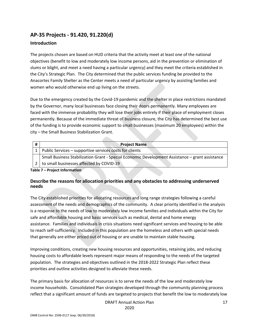# <span id="page-17-0"></span>**AP-35 Projects - 91.420, 91.220(d)**

### **Introduction**

The projects chosen are based on HUD criteria that the activity meet at least one of the national objectives (benefit to low and moderately low income persons, aid in the prevention or elimination of slums or blight, and meet a need having a particular urgency) and they meet the criteria established in the City's Strategic Plan. The City determined that the public services funding be provided to the Anacortes Family Shelter as the Center meets a need of particular urgency by assisting families and women who would otherwise end up living on the streets.

Due to the emergency created by the Covid-19 pandemic and the shelter in place restrictions mandated by the Governor, many local businesses face closing their doors permanently. Many employees are faced with the immense probability they will lose their jobs entirely if their place of employment closes permanently. Because of the immediate threat of business closure, the City has determined the best use of the funding is to provide economic support to small businesses (maximum 20 employees) within the city – the Small Business Stabilization Grant.

| # | <b>Project Name</b>                                                                             |
|---|-------------------------------------------------------------------------------------------------|
|   | Public Services - supportive services costs for clients                                         |
|   | Small Business Stabilization Grant - Special Economic Development Assistance - grant assistance |
|   | to small businesses affected by COVID-19                                                        |
|   | Table 7 - Duaiset Information.                                                                  |

**Table 7 – Project Information**

### **Describe the reasons for allocation priorities and any obstacles to addressing underserved needs**

The City established priorities for allocating resources and long range strategies following a careful assessment of the needs and demographics of the community. A clear priority identified in the analysis is a response to the needs of low to moderately low income families and individuals within the City for safe and affordable housing and basic services such as medical, dental and home energy assistance. Families and individuals in crisis situations need significant services and housing to be able to reach self-sufficiency. Included in this population are the homeless and others with special needs that generally are either priced out of housing or are unable to maintain stable housing.

Improving conditions, creating new housing resources and opportunities, retaining jobs, and reducing housing costs to affordable levels represent major means of responding to the needs of the targeted population. The strategies and objectives outlined in the 2018-2022 Strategic Plan reflect these priorities and outline activities designed to alleviate these needs.

The primary basis for allocation of resources is to serve the needs of the low and moderately low income households. Consolidated Plan strategies developed through the community planning process reflect that a significant amount of funds are targeted to projects that benefit the low to moderately low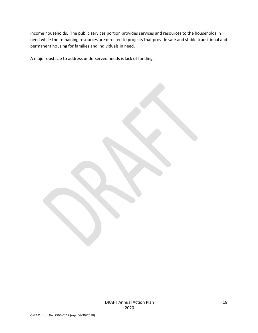income households. The public services portion provides services and resources to the households in need while the remaining resources are directed to projects that provide safe and stable transitional and permanent housing for families and individuals in need.

A major obstacle to address underserved needs is lack of funding.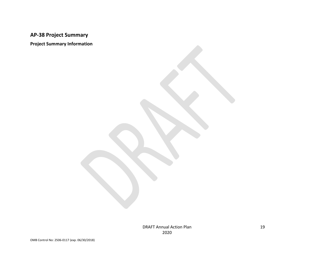# **AP-38 Project Summary**

<span id="page-19-0"></span>**Project Summary Information**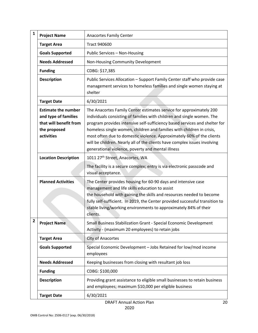| 1 | <b>Project Name</b>                                                                                        | <b>Anacortes Family Center</b>                                                                                                                                                                                                                                                                                                                                                                                                                                                                                  |  |  |  |  |  |
|---|------------------------------------------------------------------------------------------------------------|-----------------------------------------------------------------------------------------------------------------------------------------------------------------------------------------------------------------------------------------------------------------------------------------------------------------------------------------------------------------------------------------------------------------------------------------------------------------------------------------------------------------|--|--|--|--|--|
|   | <b>Target Area</b>                                                                                         | <b>Tract 940600</b>                                                                                                                                                                                                                                                                                                                                                                                                                                                                                             |  |  |  |  |  |
|   | <b>Goals Supported</b>                                                                                     | Public Services - Non-Housing                                                                                                                                                                                                                                                                                                                                                                                                                                                                                   |  |  |  |  |  |
|   | <b>Needs Addressed</b>                                                                                     | Non-Housing Community Development                                                                                                                                                                                                                                                                                                                                                                                                                                                                               |  |  |  |  |  |
|   | <b>Funding</b>                                                                                             | CDBG: \$17,385                                                                                                                                                                                                                                                                                                                                                                                                                                                                                                  |  |  |  |  |  |
|   | <b>Description</b>                                                                                         | Public Services Allocation - Support Family Center staff who provide case<br>management services to homeless families and single women staying at<br>shelter                                                                                                                                                                                                                                                                                                                                                    |  |  |  |  |  |
|   | <b>Target Date</b>                                                                                         | 6/30/2021                                                                                                                                                                                                                                                                                                                                                                                                                                                                                                       |  |  |  |  |  |
|   | <b>Estimate the number</b><br>and type of families<br>that will benefit from<br>the proposed<br>activities | The Anacortes Family Center estimates service for approximately 200<br>individuals consisting of families with children and single women. The<br>program provides intensive self-sufficiency based services and shelter for<br>homeless single women, children and families with children in crisis,<br>most often due to domestic violence. Approximately 60% of the clients<br>will be children. Nearly all of the clients have complex issues involving<br>generational violence, poverty and mental illness |  |  |  |  |  |
|   | <b>Location Description</b>                                                                                | 1011 27 <sup>th</sup> Street, Anacortes, WA                                                                                                                                                                                                                                                                                                                                                                                                                                                                     |  |  |  |  |  |
|   |                                                                                                            | The facility is a secure complex; entry is via electronic passcode and<br>visual acceptance.                                                                                                                                                                                                                                                                                                                                                                                                                    |  |  |  |  |  |
|   | <b>Planned Activities</b>                                                                                  | The Center provides housing for 60-90 days and intensive case<br>management and life skills education to assist<br>the household with gaining the skills and resources needed to become<br>fully self-sufficient. In 2019, the Center provided successful transition to<br>stable living/working environments to approximately 84% of their<br>clients.                                                                                                                                                         |  |  |  |  |  |
| 2 | <b>Project Name</b>                                                                                        | Small Business Stabilization Grant - Special Economic Development<br>Activity - (maximum 20 employees) to retain jobs                                                                                                                                                                                                                                                                                                                                                                                           |  |  |  |  |  |
|   | <b>Target Area</b>                                                                                         | City of Anacortes                                                                                                                                                                                                                                                                                                                                                                                                                                                                                               |  |  |  |  |  |
|   | <b>Goals Supported</b>                                                                                     | Special Economic Development - Jobs Retained for low/mod income<br>employees                                                                                                                                                                                                                                                                                                                                                                                                                                    |  |  |  |  |  |
|   | <b>Needs Addressed</b>                                                                                     | Keeping businesses from closing with resultant job loss                                                                                                                                                                                                                                                                                                                                                                                                                                                         |  |  |  |  |  |
|   | <b>Funding</b>                                                                                             | CDBG: \$100,000                                                                                                                                                                                                                                                                                                                                                                                                                                                                                                 |  |  |  |  |  |
|   | <b>Description</b>                                                                                         | Providing grant assistance to eligible small businesses to retain business<br>and employees; maximum \$10,000 per eligible business                                                                                                                                                                                                                                                                                                                                                                             |  |  |  |  |  |
|   | <b>Target Date</b>                                                                                         | 6/30/2021                                                                                                                                                                                                                                                                                                                                                                                                                                                                                                       |  |  |  |  |  |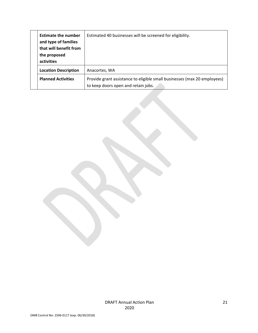| <b>Estimate the number</b><br>and type of families<br>that will benefit from<br>the proposed<br>activities | Estimated 40 businesses will be screened for eligibility.                                                       |
|------------------------------------------------------------------------------------------------------------|-----------------------------------------------------------------------------------------------------------------|
| <b>Location Description</b>                                                                                | Anacortes, WA                                                                                                   |
| <b>Planned Activities</b>                                                                                  | Provide grant assistance to eligible small businesses (max 20 employees)<br>to keep doors open and retain jobs. |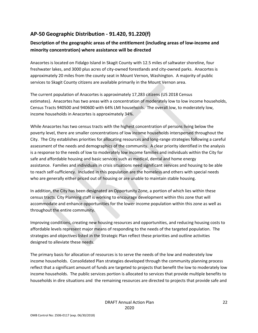# <span id="page-22-0"></span>**AP-50 Geographic Distribution - 91.420, 91.220(f)**

## **Description of the geographic areas of the entitlement (including areas of low-income and minority concentration) where assistance will be directed**

Anacortes is located on Fidalgo Island in Skagit County with 12.5 miles of saltwater shoreline, four freshwater lakes, and 3000 plus acres of city-owned forestlands and city-owned parks. Anacortes is approximately 20 miles from the county seat in Mount Vernon, Washington. A majority of public services to Skagit County citizens are available primarily in the Mount Vernon area.

The current population of Anacortes is approximately 17,283 citizens (US 2018 Census estimates). Anacortes has two areas with a concentration of moderately low to low income households, Census Tracts 940500 and 940600 with 64% LMI households. The overall low, to moderately low, income households in Anacortes is approximately 34%.

While Anacortes has two census tracts with the highest concentration of persons living below the poverty level, there are smaller concentrations of low income households interspersed throughout the City. The City establishes priorities for allocating resources and long-range strategies following a careful assessment of the needs and demographics of the community. A clear priority identified in the analysis is a response to the needs of low to moderately low income families and individuals within the City for safe and affordable housing and basic services such as medical, dental and home energy assistance. Families and individuals in crisis situations need significant services and housing to be able to reach self-sufficiency. Included in this population are the homeless and others with special needs who are generally either priced out of housing or are unable to maintain stable housing.

In addition, the City has been designated an Opportunity Zone, a portion of which lies within these census tracts. City Planning staff is working to encourage development within this zone that will accommodate and enhance opportunities for the lower income population within this zone as well as throughout the entire community.

Improving conditions, creating new housing resources and opportunities, and reducing housing costs to affordable levels represent major means of responding to the needs of the targeted population. The strategies and objectives listed in the Strategic Plan reflect these priorities and outline activities designed to alleviate these needs.

The primary basis for allocation of resources is to serve the needs of the low and moderately low income households. Consolidated Plan strategies developed through the community planning process reflect that a significant amount of funds are targeted to projects that benefit the low to moderately low income households. The public services portion is allocated to services that provide multiple benefits to households in dire situations and the remaining resources are directed to projects that provide safe and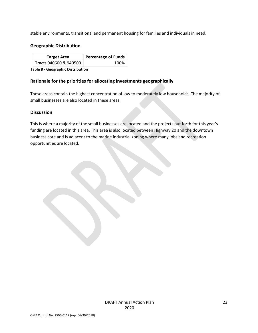stable environments, transitional and permanent housing for families and individuals in need.

### **Geographic Distribution**

| <b>Target Area</b>     | <b>Percentage of Funds</b> |  |
|------------------------|----------------------------|--|
| Tracts 940600 & 940500 | 100%                       |  |

**Table 8 - Geographic Distribution** 

### **Rationale for the priorities for allocating investments geographically**

These areas contain the highest concentration of low to moderately low households. The majority of small businesses are also located in these areas.

### **Discussion**

This is where a majority of the small businesses are located and the projects put forth for this year's funding are located in this area. This area is also located between Highway 20 and the downtown business core and is adjacent to the marine industrial zoning where many jobs and recreation opportunities are located.

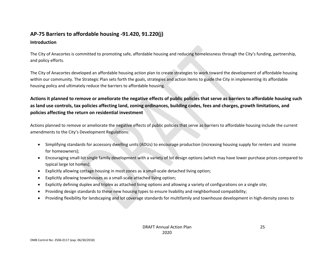# **AP-75 Barriers to affordable housing -91.420, 91.220(j)**

### **Introduction**

The City of Anacortes is committed to promoting safe, affordable housing and reducing homelessness through the City's funding, partnership, and policy efforts.

The City of Anacortes developed an affordable housing action plan to create strategies to work toward the development of affordable housing within our community. The Strategic Plan sets forth the goals, strategies and action items to guide the City in implementing its affordable housing policy and ultimately reduce the barriers to affordable housing.

# <span id="page-25-0"></span>**Actions it planned to remove or ameliorate the negative effects of public policies that serve as barriers to affordable housing such as land use controls, tax policies affecting land, zoning ordinances, building codes, fees and charges, growth limitations, and policies affecting the return on residential investment**

Actions planned to remove or ameliorate the negative effects of public policies that serve as barriers to affordable housing include the current amendments to the City's Development Regulations:

- Simplifying standards for accessory dwelling units (ADUs) to encourage production (increasing housing supply for renters and income for homeowners);
- Encouraging small-lot single family development with a variety of lot design options (which may have lower purchase prices compared to typical large lot homes);
- Explicitly allowing cottage housing in most zones as a small-scale detached living option;
- Explicitly allowing townhouses as a small-scale attached living option;
- Explicitly defining duplex and triplex as attached living options and allowing a variety of configurations on a single site;
- Providing design standards to these new housing types to ensure livability and neighborhood compatibility;
- Providing flexibility for landscaping and lot coverage standards for multifamily and townhouse development in high-density zones to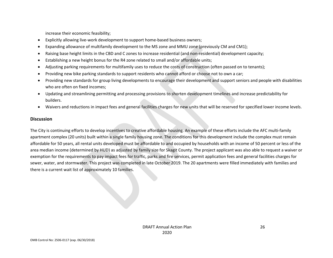increase their economic feasibility;

- Explicitly allowing live-work development to support home-based business owners;
- Expanding allowance of multifamily development to the MS zone and MMU zone (previously CM and CM1);
- Raising base height limits in the CBD and C zones to increase residential (and non-residential) development capacity;
- Establishing a new height bonus for the R4 zone related to small and/or affordable units;
- Adjusting parking requirements for multifamily uses to reduce the costs of construction (often passed on to tenants);
- Providing new bike parking standards to support residents who cannot afford or choose not to own a car;
- Providing new standards for group living developments to encourage their development and support seniors and people with disabilities who are often on fixed incomes;
- Updating and streamlining permitting and processing provisions to shorten development timelines and increase predictability for builders.
- Waivers and reductions in impact fees and general facilities charges for new units that will be reserved for specified lower income levels.

### **Discussion**

The City is continuing efforts to develop incentives to creative affordable housing. An example of these efforts include the AFC multi-family apartment complex (20 units) built within a single family housing zone. The conditions for this development include the complex must remain affordable for 50 years, all rental units developed must be affordable to and occupied by households with an income of 50 percent or less of the area median income (determined by HUD) as adjusted by family size for Skagit County. The project applicant was also able to request a waiver or exemption for the requirements to pay impact fees for traffic, parks and fire services, permit application fees and general facilities charges for sewer, water, and stormwater. This project was completed in late October 2019. The 20 apartments were filled immediately with families and there is a current wait list of approximately 10 families.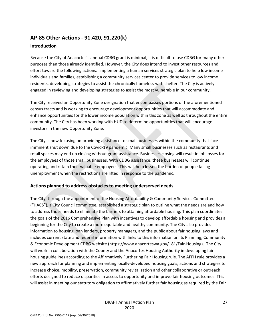# <span id="page-27-0"></span>**AP-85 Other Actions - 91.420, 91.220(k)**

# **Introduction**

Because the City of Anacortes's annual CDBG grant is minimal, it is difficult to use CDBG for many other purposes than those already identified. However, the City does intend to invest other resources and effort toward the following actions: implementing a human services strategic plan to help low income individuals and families, establishing a community services center to provide services to low income residents, developing strategies to assist the chronically homeless with shelter. The City is actively engaged in reviewing and developing strategies to assist the most vulnerable in our community.

The City received an Opportunity Zone designation that encompasses portions of the aforementioned census tracts and is working to encourage development opportunities that will accommodate and enhance opportunities for the lower income population within this zone as well as throughout the entire community. The City has been working with HUD to determine opportunities that will encourage investors in the new Opportunity Zone.

The City is now focusing on providing assistance to small businesses within the community that face imminent shut down due to the Covid-19 pandemic. Many small businesses such as restaurants and retail spaces may end up closing without grant assistance. Businesses closing will result in job losses for the employees of those small businesses. With CDBG assistance, these businesses will continue operating and retain their valuable employees. This will help lessen the burden of people facing unemployment when the restrictions are lifted in response to the pandemic.

### **Actions planned to address obstacles to meeting underserved needs**

The City, through the appointment of the Housing Affordability & Community Services Committee ("HACS"), a City Council committee, established a strategic plan to outline what the needs are and how to address those needs to eliminate the barriers to attaining affordable housing. This plan coordinates the goals of the 2016 Comprehensive Plan with incentives to develop affordable housing and provides a beginning for the City to create a more equitable and healthy community. The City also provides information to housing loan lenders, property managers, and the public about fair housing laws and includes current state and federal information with links to this information on its Planning, Community & Economic Development CDBG website (https://www.anacorteswa.gov/181/Fair-Housing). The City will work in collaboration with the County and the Anacortes Housing Authority in developing fair housing guidelines according to the Affirmatively Furthering Fair Housing rule. The AFFH rule provides a new approach for planning and implementing locally-developed housing goals, actions and strategies to increase choice, mobility, preservation, community revitalization and other collaborative or outreach efforts designed to reduce disparities in access to opportunity and improve fair housing outcomes. This will assist in meeting our statutory obligation to affirmatively further fair housing as required by the Fair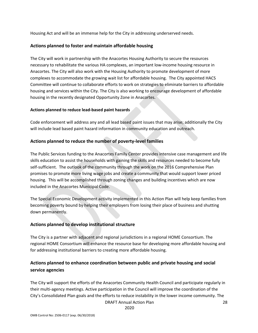Housing Act and will be an immense help for the City in addressing underserved needs.

### **Actions planned to foster and maintain affordable housing**

The City will work in partnership with the Anacortes Housing Authority to secure the resources necessary to rehabilitate the various HA complexes, an important low-income housing resource in Anacortes. The City will also work with the Housing Authority to promote development of more complexes to accommodate the growing wait list for affordable housing. The City appointed HACS Committee will continue to collaborate efforts to work on strategies to eliminate barriers to affordable housing and services within the City. The City is also working to encourage development of affordable housing in the recently designated Opportunity Zone in Anacortes.

### **Actions planned to reduce lead-based paint hazards**

Code enforcement will address any and all lead based paint issues that may arise; additionally the City will include lead based paint hazard information in community education and outreach.

### **Actions planned to reduce the number of poverty-level families**

The Public Services funding to the Anacortes Family Center provides intensive case management and life skills education to assist the households with gaining the skills and resources needed to become fully self-sufficient. The outlook of the community through the work on the 2016 Comprehensive Plan promises to promote more living wage jobs and create a community that would support lower priced housing. This will be accomplished through zoning changes and building incentives which are now included in the Anacortes Municipal Code.

The Special Economic Development activity implemented in this Action Plan will help keep families from becoming poverty bound by helping their employers from losing their place of business and shutting down permanently.

### **Actions planned to develop institutional structure**

The City is a partner with adjacent and regional jurisdictions in a regional HOME Consortium. The regional HOME Consortium will enhance the resource base for developing more affordable housing and for addressing institutional barriers to creating more affordable housing.

### **Actions planned to enhance coordination between public and private housing and social service agencies**

The City will support the efforts of the Anacortes Community Health Council and participate regularly in their multi-agency meetings. Active participation in the Council will improve the coordination of the City's Consolidated Plan goals and the efforts to reduce instability in the lower income community. The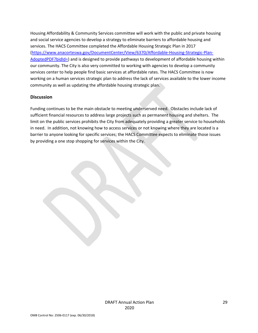Housing Affordability & Community Services committee will work with the public and private housing and social service agencies to develop a strategy to eliminate barriers to affordable housing and services. The HACS Committee completed the Affordable Housing Strategic Plan in 2017 [\(https://www.anacorteswa.gov/DocumentCenter/View/6370/Affordable-Housing-Strategic-Plan-](https://www.anacorteswa.gov/DocumentCenter/View/6370/Affordable-Housing-Strategic-Plan-AdoptedPDF?bidId=)[AdoptedPDF?bidId=\)](https://www.anacorteswa.gov/DocumentCenter/View/6370/Affordable-Housing-Strategic-Plan-AdoptedPDF?bidId=) and is designed to provide pathways to development of affordable housing within our community. The City is also very committed to working with agencies to develop a community services center to help people find basic services at affordable rates. The HACS Committee is now working on a human services strategic plan to address the lack of services available to the lower income community as well as updating the affordable housing strategic plan.

### **Discussion**

Funding continues to be the main obstacle to meeting underserved need. Obstacles include lack of sufficient financial resources to address large projects such as permanent housing and shelters. The limit on the public services prohibits the City from adequately providing a greater service to households in need. In addition, not knowing how to access services or not knowing where they are located is a barrier to anyone looking for specific services; the HACS Committee expects to eliminate those issues by providing a one stop shopping for services within the City.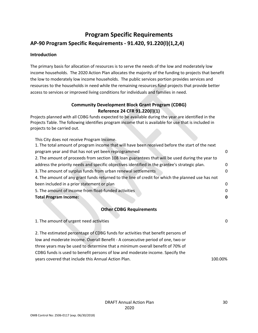# <span id="page-30-0"></span>**Program Specific Requirements AP-90 Program Specific Requirements - 91.420, 91.220(l)(1,2,4)**

### **Introduction**

The primary basis for allocation of resources is to serve the needs of the low and moderately low income households. The 2020 Action Plan allocates the majority of the funding to projects that benefit the low to moderately low income households. The public services portion provides services and resources to the households in need while the remaining resources fund projects that provide better access to services or improved living conditions for individuals and families in need.

### **Community Development Block Grant Program (CDBG) Reference 24 CFR 91.220(l)(1)**

Projects planned with all CDBG funds expected to be available during the year are identified in the Projects Table. The following identifies program income that is available for use that is included in projects to be carried out.

| This City does not receive Program Income.                                                        |   |  |
|---------------------------------------------------------------------------------------------------|---|--|
| 1. The total amount of program income that will have been received before the start of the next   |   |  |
| program year and that has not yet been reprogrammed                                               |   |  |
| 2. The amount of proceeds from section 108 loan guarantees that will be used during the year to   |   |  |
| address the priority needs and specific objectives identified in the grantee's strategic plan.    | 0 |  |
| 3. The amount of surplus funds from urban renewal settlements                                     | 0 |  |
| 4. The amount of any grant funds returned to the line of credit for which the planned use has not |   |  |
| been included in a prior statement or plan                                                        | 0 |  |
| 5. The amount of income from float-funded activities                                              | 0 |  |
| <b>Total Program Income:</b>                                                                      |   |  |
|                                                                                                   |   |  |

### **Other CDBG Requirements**

| 1. The amount of urgent need activities                                          | 0       |
|----------------------------------------------------------------------------------|---------|
| 2. The estimated percentage of CDBG funds for activities that benefit persons of |         |
| low and moderate income. Overall Benefit - A consecutive period of one, two or   |         |
| three years may be used to determine that a minimum overall benefit of 70% of    |         |
| CDBG funds is used to benefit persons of low and moderate income. Specify the    |         |
| years covered that include this Annual Action Plan.                              | 100.00% |
|                                                                                  |         |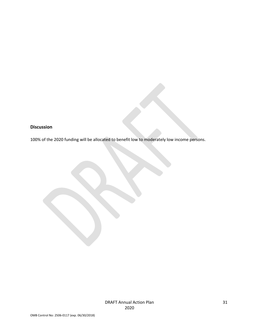### **Discussion**

100% of the 2020 funding will be allocated to benefit low to moderately low income persons.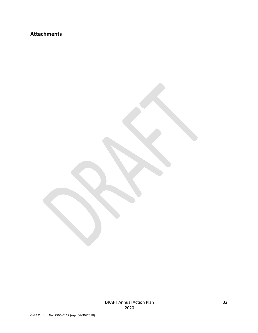# **Attachments**